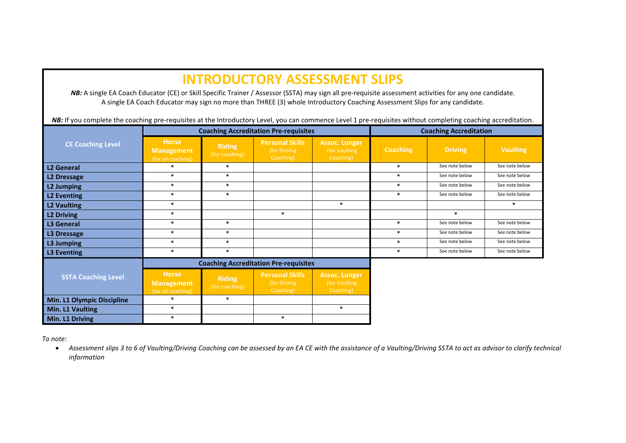## **INTRODUCTORY ASSESSMENT SLIPS**

*NB*: A single EA Coach Educator (CE) or Skill Specific Trainer / Assessor (SSTA) may sign all pre-requisite assessment activities for any one candidate. A single EA Coach Educator may sign no more than THREE (3) whole Introductory Coaching Assessment Slips for any candidate.

NB: If you complete the coaching pre-requisites at the Introductory Level, you can commence Level 1 pre-requisites without completing coaching accreditation.

| <b>CE Coaching Level</b>   |                                                         |                                 | <b>Coaching Accreditation Pre-requisites</b>        | <b>Coaching Accreditation</b>                      |                 |                |                 |
|----------------------------|---------------------------------------------------------|---------------------------------|-----------------------------------------------------|----------------------------------------------------|-----------------|----------------|-----------------|
|                            | <b>Horse</b><br><b>Management</b><br>(for all coaching) | <b>Riding</b><br>(for coaching) | <b>Personal Skills</b><br>(for Driving<br>Coaching) | <b>Assoc. Lunger</b><br>(for Vaulting<br>Coaching) | <b>Coaching</b> | <b>Driving</b> | <b>Vaulting</b> |
| <b>L2 General</b>          | $\ast$                                                  | $\ast$                          |                                                     |                                                    | $\ast$          | See note below | See note below  |
| <b>L2 Dressage</b>         | $\ast$                                                  | $\ast$                          |                                                     |                                                    | $\ast$          | See note below | See note below  |
| <b>L2 Jumping</b>          | $\ast$                                                  | $\ast$                          |                                                     |                                                    | $\ast$          | See note below | See note below  |
| <b>L2 Eventing</b>         | $\ast$                                                  | $\ast$                          |                                                     |                                                    | $\ast$          | See note below | See note below  |
| <b>L2 Vaulting</b>         | $\ast$                                                  |                                 |                                                     | $\ast$                                             |                 |                | $\ast$          |
| <b>L2 Driving</b>          | $\ast$                                                  |                                 | $\ast$                                              |                                                    |                 | $\ast$         |                 |
| <b>L3 General</b>          | $\ast$                                                  | $\ast$                          |                                                     |                                                    | $\ast$          | See note below | See note below  |
| L3 Dressage                | $\ast$                                                  | $\ast$                          |                                                     |                                                    | $\ast$          | See note below | See note below  |
| L3 Jumping                 | $\ast$                                                  | $\ast$                          |                                                     |                                                    | $\ast$          | See note below | See note below  |
| L3 Eventing                | $\ast$                                                  | $\ast$                          |                                                     |                                                    | $\ast$          | See note below | See note below  |
| <b>SSTA Coaching Level</b> |                                                         |                                 | <b>Coaching Accreditation Pre-requisites</b>        |                                                    |                 |                |                 |
|                            | <b>Horse</b><br><b>Management</b><br>(for all coaching) | <b>Riding</b><br>(for coaching) | <b>Personal Skills</b><br>(for Driving<br>Coaching) | <b>Assoc. Lunger</b><br>(for Vaulting<br>Coaching) |                 |                |                 |
| Min. L1 Olympic Discipline | $\ast$                                                  | $\ast$                          |                                                     |                                                    |                 |                |                 |
| Min. L1 Vaulting           | $\ast$                                                  |                                 |                                                     | $\ast$                                             |                 |                |                 |
| Min. L1 Driving            | $\ast$                                                  |                                 | $\ast$                                              |                                                    |                 |                |                 |

*To note:* 

• *Assessment slips 3 to 6 of Vaulting/Driving Coaching can be assessed by an EA CE with the assistance of a Vaulting/Driving SSTA to act as advisor to clarify technical information*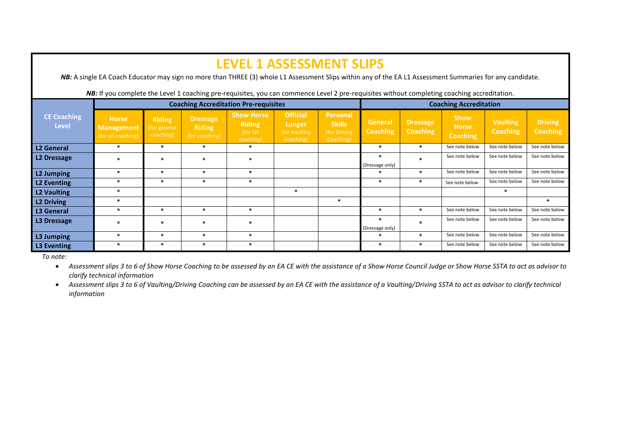| <b>LEVEL 1 ASSESSMENT SLIPS</b><br><b>NB:</b> A single EA Coach Educator may sign no more than THREE (3) whole L1 Assessment Slips within any of the EA L1 Assessment Summaries for any candidate. |                                                         |                                            |                                                    |                                                             |                                                          |                                                         |                                   |                             |                                                |                                    |                                   |  |
|----------------------------------------------------------------------------------------------------------------------------------------------------------------------------------------------------|---------------------------------------------------------|--------------------------------------------|----------------------------------------------------|-------------------------------------------------------------|----------------------------------------------------------|---------------------------------------------------------|-----------------------------------|-----------------------------|------------------------------------------------|------------------------------------|-----------------------------------|--|
| NB: If you complete the Level 1 coaching pre-requisites, you can commence Level 2 pre-requisites without completing coaching accreditation.                                                        |                                                         |                                            |                                                    |                                                             |                                                          |                                                         |                                   |                             |                                                |                                    |                                   |  |
| <b>Coaching Accreditation Pre-requisites</b>                                                                                                                                                       |                                                         |                                            |                                                    |                                                             |                                                          |                                                         | <b>Coaching Accreditation</b>     |                             |                                                |                                    |                                   |  |
| <b>CE Coaching</b><br><b>Level</b>                                                                                                                                                                 | <b>Horse</b><br><b>Management</b><br>(for all coaching) | <b>Riding</b><br>(for general<br>coaching) | <b>Dressage</b><br><b>Riding</b><br>(for coaching) | <b>Show Horse</b><br><b>Riding</b><br>(for SH)<br>coaching) | <b>Official</b><br>Lunger<br>(for Vaulting)<br>Coaching) | Personal<br><b>Skills</b><br>(for Driving)<br>Coaching) | <b>General</b><br><b>Coaching</b> | Dressage<br><b>Coaching</b> | <b>Show</b><br><b>Horse</b><br><b>Coaching</b> | <b>Vaulting</b><br><b>Coaching</b> | <b>Driving</b><br><b>Coaching</b> |  |
| L2 General                                                                                                                                                                                         | $\ast$                                                  | $\ast$                                     | $\ast$                                             | $\ast$                                                      |                                                          |                                                         | $\ast$                            | $\ast$                      | See note below                                 | See note below                     | See note below                    |  |
| L2 Dressage                                                                                                                                                                                        | $\ast$                                                  | $\ast$                                     | $\ast$                                             | $\ast$                                                      |                                                          |                                                         | $\ast$<br>(Dressage only)         | $\ast$                      | See note below                                 | See note below                     | See note below                    |  |
| L2 Jumping                                                                                                                                                                                         | $\ast$                                                  | $\ast$                                     | $\ast$                                             | $\ast$                                                      |                                                          |                                                         | $\ast$                            | $\ast$                      | See note below                                 | See note below                     | See note below                    |  |
| L2 Eventing                                                                                                                                                                                        | $\ast$                                                  | $\ast$                                     | $\ast$                                             | $\ast$                                                      |                                                          |                                                         | $\ast$                            | $\ast$                      | See note below                                 | See note below                     | See note below                    |  |
| L2 Vaulting                                                                                                                                                                                        | $\ast$                                                  |                                            |                                                    |                                                             | $\ast$                                                   |                                                         |                                   |                             |                                                | $\ast$                             |                                   |  |
| L2 Driving                                                                                                                                                                                         | $\ast$                                                  |                                            |                                                    |                                                             |                                                          | $\ast$                                                  |                                   |                             |                                                |                                    | $\ast$                            |  |
| L <sub>3</sub> General                                                                                                                                                                             | $\ast$                                                  | $\ast$                                     | $\ast$                                             | $\ast$                                                      |                                                          |                                                         | $\ast$                            | $\ast$                      | See note below                                 | See note below                     | See note below                    |  |
| L3 Dressage                                                                                                                                                                                        | $\ast$                                                  | $\ast$                                     | $\ast$                                             | $\ast$                                                      |                                                          |                                                         | $\ast$<br>(Dressage only)         | ÷                           | See note below                                 | See note below                     | See note below                    |  |
| L3 Jumping                                                                                                                                                                                         | $\ast$                                                  | $\ast$                                     | $\ast$                                             | $\ast$                                                      |                                                          |                                                         | $\ast$                            | $\ast$                      | See note below                                 | See note below                     | See note below                    |  |
| L3 Eventing                                                                                                                                                                                        | $\ast$                                                  | $\ast$                                     | $\ast$                                             | $\ast$                                                      |                                                          |                                                         | $\ast$                            | $\ast$                      | See note below                                 | See note below                     | See note below                    |  |

*To note:* 

• *Assessment slips 3 to 6 of Show Horse Coaching to be assessed by an EA CE with the assistance of a Show Horse Council Judge or Show Horse SSTA to act as advisor to clarify technical information*

• *Assessment slips 3 to 6 of Vaulting/Driving Coaching can be assessed by an EA CE with the assistance of a Vaulting/Driving SSTA to act as advisor to clarify technical information*